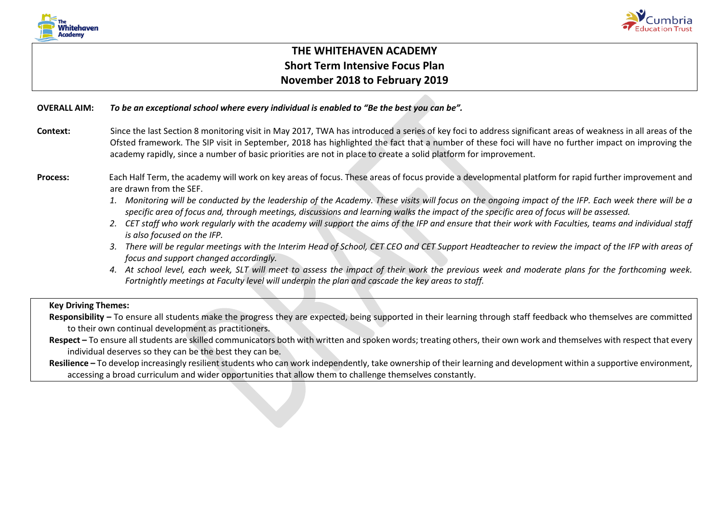



# **THE WHITEHAVEN ACADEMY Short Term Intensive Focus Plan November 2018 to February 2019**

#### **OVERALL AIM:** *To be an exceptional school where every individual is enabled to "Be the best you can be".*

Context: Since the last Section 8 monitoring visit in May 2017, TWA has introduced a series of key foci to address significant areas of weakness in all areas of the Ofsted framework. The SIP visit in September, 2018 has highlighted the fact that a number of these foci will have no further impact on improving the academy rapidly, since a number of basic priorities are not in place to create a solid platform for improvement.

## **Process:** Each Half Term, the academy will work on key areas of focus. These areas of focus provide a developmental platform for rapid further improvement and are drawn from the SEF.

- *1. Monitoring will be conducted by the leadership of the Academy. These visits will focus on the ongoing impact of the IFP. Each week there will be a specific area of focus and, through meetings, discussions and learning walks the impact of the specific area of focus will be assessed.*
- *2. CET staff who work regularly with the academy will support the aims of the IFP and ensure that their work with Faculties, teams and individual staff is also focused on the IFP.*
- *3. There will be regular meetings with the Interim Head of School, CET CEO and CET Support Headteacher to review the impact of the IFP with areas of focus and support changed accordingly.*
- *4. At school level, each week, SLT will meet to assess the impact of their work the previous week and moderate plans for the forthcoming week. Fortnightly meetings at Faculty level will underpin the plan and cascade the key areas to staff.*

# **Key Driving Themes:**

- **Responsibility –** To ensure all students make the progress they are expected, being supported in their learning through staff feedback who themselves are committed to their own continual development as practitioners.
- **Respect –** To ensure all students are skilled communicators both with written and spoken words; treating others, their own work and themselves with respect that every individual deserves so they can be the best they can be.

**Resilience –** To develop increasingly resilient students who can work independently, take ownership of their learning and development within a supportive environment, accessing a broad curriculum and wider opportunities that allow them to challenge themselves constantly.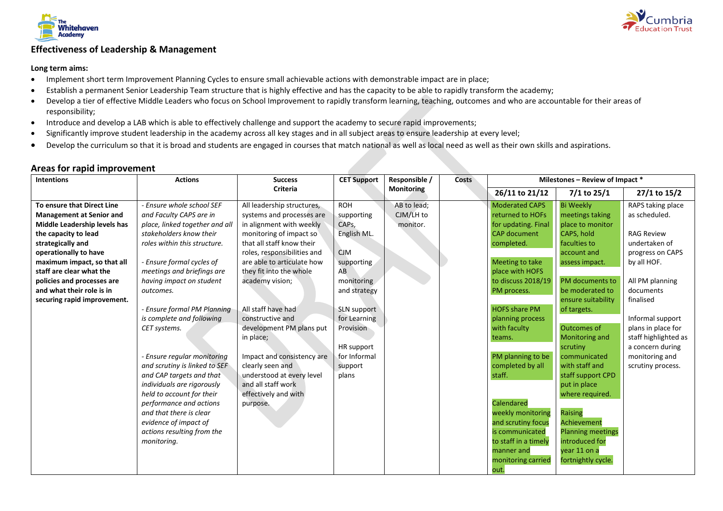



## **Effectiveness of Leadership & Management**

#### **Long term aims:**

- Implement short term Improvement Planning Cycles to ensure small achievable actions with demonstrable impact are in place;
- Establish a permanent Senior Leadership Team structure that is highly effective and has the capacity to be able to rapidly transform the academy;
- Develop a tier of effective Middle Leaders who focus on School Improvement to rapidly transform learning, teaching, outcomes and who are accountable for their areas of responsibility;
- Introduce and develop a LAB which is able to effectively challenge and support the academy to secure rapid improvements;
- Significantly improve student leadership in the academy across all key stages and in all subject areas to ensure leadership at every level;
- Develop the curriculum so that it is broad and students are engaged in courses that match national as well as local need as well as their own skills and aspirations.

| <b>Intentions</b>                                                                                                                                                                                                                                            | <b>Actions</b>                                                                                                                                                                                                                                                                                                                                                           | <b>Success</b>                                                                                                                                                                                                                                         | <b>CET Support</b>                                                                                            | Responsible /                        | <b>Costs</b> | Milestones - Review of Impact *                                                                                                                                                                                                                                                      |                                                                                                                                                                                                                                                                                                           |                                                                                                                                                     |
|--------------------------------------------------------------------------------------------------------------------------------------------------------------------------------------------------------------------------------------------------------------|--------------------------------------------------------------------------------------------------------------------------------------------------------------------------------------------------------------------------------------------------------------------------------------------------------------------------------------------------------------------------|--------------------------------------------------------------------------------------------------------------------------------------------------------------------------------------------------------------------------------------------------------|---------------------------------------------------------------------------------------------------------------|--------------------------------------|--------------|--------------------------------------------------------------------------------------------------------------------------------------------------------------------------------------------------------------------------------------------------------------------------------------|-----------------------------------------------------------------------------------------------------------------------------------------------------------------------------------------------------------------------------------------------------------------------------------------------------------|-----------------------------------------------------------------------------------------------------------------------------------------------------|
|                                                                                                                                                                                                                                                              |                                                                                                                                                                                                                                                                                                                                                                          | <b>Criteria</b>                                                                                                                                                                                                                                        |                                                                                                               | <b>Monitoring</b>                    |              | 26/11 to 21/12                                                                                                                                                                                                                                                                       | $7/1$ to 25/1                                                                                                                                                                                                                                                                                             | 27/1 to 15/2                                                                                                                                        |
| To ensure that Direct Line<br><b>Management at Senior and</b><br>Middle Leadership levels has<br>the capacity to lead<br>strategically and<br>operationally to have<br>maximum impact, so that all<br>staff are clear what the<br>policies and processes are | - Ensure whole school SEF<br>and Faculty CAPS are in<br>place, linked together and all<br>stakeholders know their<br>roles within this structure.<br>- Ensure formal cycles of<br>meetings and briefings are<br>having impact on student                                                                                                                                 | All leadership structures,<br>systems and processes are<br>in alignment with weekly<br>monitoring of impact so<br>that all staff know their<br>roles, responsibilities and<br>are able to articulate how<br>they fit into the whole<br>academy vision; | <b>ROH</b><br>supporting<br>CAP <sub>s</sub> ,<br>English ML.<br><b>CJM</b><br>supporting<br>AB<br>monitoring | AB to lead;<br>CJM/LH to<br>monitor. |              | <b>Moderated CAPS</b><br>returned to HOFs<br>for updating. Final<br><b>CAP</b> document<br>completed.<br>Meeting to take<br>place with HOFS<br>to discuss 2018/19                                                                                                                    | <b>Bi Weekly</b><br>meetings taking<br>place to monitor<br>CAPS, hold<br>faculties to<br>account and<br>assess impact.<br>PM documents to                                                                                                                                                                 | RAPS taking place<br>as scheduled.<br><b>RAG Review</b><br>undertaken of<br>progress on CAPS<br>by all HOF.<br>All PM planning                      |
| and what their role is in<br>securing rapid improvement.                                                                                                                                                                                                     | outcomes.<br>- Ensure formal PM Planning<br>is complete and following<br>CET systems.<br>- Ensure regular monitoring<br>and scrutiny is linked to SEF<br>and CAP targets and that<br>individuals are rigorously<br>held to account for their<br>performance and actions<br>and that there is clear<br>evidence of impact of<br>actions resulting from the<br>monitoring. | All staff have had<br>constructive and<br>development PM plans put<br>in place;<br>Impact and consistency are<br>clearly seen and<br>understood at every level<br>and all staff work<br>effectively and with<br>purpose.                               | and strategy<br>SLN support<br>for Learning<br>Provision<br>HR support<br>for Informal<br>support<br>plans    |                                      |              | PM process.<br><b>HOFS share PM</b><br>planning process<br>with faculty<br>teams.<br>PM planning to be<br>completed by all<br>staff.<br>Calendared<br>weekly monitoring<br>and scrutiny focus<br>is communicated<br>to staff in a timely<br>manner and<br>monitoring carried<br>out. | be moderated to<br>ensure suitability<br>of targets.<br>Outcomes of<br>Monitoring and<br>scrutiny<br>communicated<br>with staff and<br>staff support CPD<br>put in place<br>where required.<br>Raising<br>Achievement<br><b>Planning meetings</b><br>introduced for<br>vear 11 on a<br>fortnightly cycle. | documents<br>finalised<br>Informal support<br>plans in place for<br>staff highlighted as<br>a concern during<br>monitoring and<br>scrutiny process. |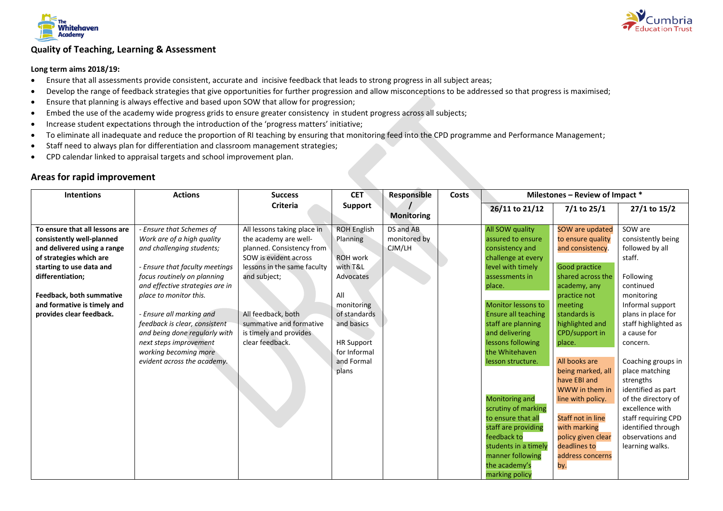

# **Quality of Teaching, Learning & Assessment**

#### **Long term aims 2018/19:**

- Ensure that all assessments provide consistent, accurate and incisive feedback that leads to strong progress in all subject areas;
- Develop the range of feedback strategies that give opportunities for further progression and allow misconceptions to be addressed so that progress is maximised;
- Ensure that planning is always effective and based upon SOW that allow for progression;
- Embed the use of the academy wide progress grids to ensure greater consistency in student progress across all subjects;
- Increase student expectations through the introduction of the 'progress matters' initiative;
- To eliminate all inadequate and reduce the proportion of RI teaching by ensuring that monitoring feed into the CPD programme and Performance Management;
- Staff need to always plan for differentiation and classroom management strategies;
- CPD calendar linked to appraisal targets and school improvement plan.

| <b>Intentions</b>              | <b>Actions</b>                  | <b>Success</b>              | <b>CET</b>         | Responsible       | Costs | Milestones - Review of Impact * |                          |                      |
|--------------------------------|---------------------------------|-----------------------------|--------------------|-------------------|-------|---------------------------------|--------------------------|----------------------|
|                                |                                 | <b>Criteria</b>             | Support            |                   |       | 26/11 to 21/12                  | 7/1 to 25/1              | 27/1 to 15/2         |
|                                |                                 |                             |                    | <b>Monitoring</b> |       |                                 |                          |                      |
| To ensure that all lessons are | - Ensure that Schemes of        | All lessons taking place in | <b>ROH English</b> | DS and AB         |       | All SOW quality                 | SOW are updated          | SOW are              |
| consistently well-planned      | Work are of a high quality      | the academy are well-       | Planning           | monitored by      |       | assured to ensure               | to ensure quality        | consistently being   |
| and delivered using a range    | and challenging students;       | planned. Consistency from   |                    | CJM/LH            |       | consistency and                 | and consistency.         | followed by all      |
| of strategies which are        |                                 | SOW is evident across       | <b>ROH</b> work    |                   |       | challenge at every              |                          | staff.               |
| starting to use data and       | - Ensure that faculty meetings  | lessons in the same faculty | with T&L           |                   |       | level with timely               | Good practice            |                      |
| differentiation;               | focus routinely on planning     | and subject;                | Advocates          |                   |       | assessments in                  | shared across the        | Following            |
|                                | and effective strategies are in |                             |                    |                   |       | place.                          | academy, any             | continued            |
| Feedback, both summative       | place to monitor this.          |                             | All                |                   |       |                                 | practice not             | monitoring           |
| and formative is timely and    |                                 |                             | monitoring         |                   |       | <b>Monitor lessons to</b>       | meeting                  | Informal support     |
| provides clear feedback.       | - Ensure all marking and        | All feedback, both          | of standards       |                   |       | <b>Ensure all teaching</b>      | standards is             | plans in place for   |
|                                | feedback is clear, consistent   | summative and formative     | and basics         |                   |       | staff are planning              | highlighted and          | staff highlighted as |
|                                | and being done regularly with   | is timely and provides      |                    |                   |       | and delivering                  | CPD/support in           | a cause for          |
|                                | next steps improvement          | clear feedback.             | <b>HR Support</b>  |                   |       | lessons following               | place.                   | concern.             |
|                                | working becoming more           |                             | for Informal       |                   |       | the Whitehaven                  |                          |                      |
|                                | evident across the academy.     |                             | and Formal         |                   |       | lesson structure.               | All books are            | Coaching groups in   |
|                                |                                 |                             | plans              |                   |       |                                 | being marked, all        | place matching       |
|                                |                                 |                             |                    |                   |       |                                 | have EBI and             | strengths            |
|                                |                                 |                             |                    |                   |       |                                 | WWW in them in           | identified as part   |
|                                |                                 |                             |                    |                   |       | <b>Monitoring and</b>           | line with policy.        | of the directory of  |
|                                |                                 |                             |                    |                   |       | scrutiny of marking             |                          | excellence with      |
|                                |                                 |                             |                    |                   |       | to ensure that all              | <b>Staff not in line</b> | staff requiring CPD  |
|                                |                                 |                             |                    |                   |       | staff are providing             | with marking             | identified through   |
|                                |                                 |                             |                    |                   |       | feedback to                     | policy given clear       | observations and     |
|                                |                                 |                             |                    |                   |       | students in a timely            | deadlines to             | learning walks.      |
|                                |                                 |                             |                    |                   |       | manner following                | address concerns         |                      |
|                                |                                 |                             |                    |                   |       | the academy's                   | by.                      |                      |
|                                |                                 |                             |                    |                   |       | marking policy                  |                          |                      |

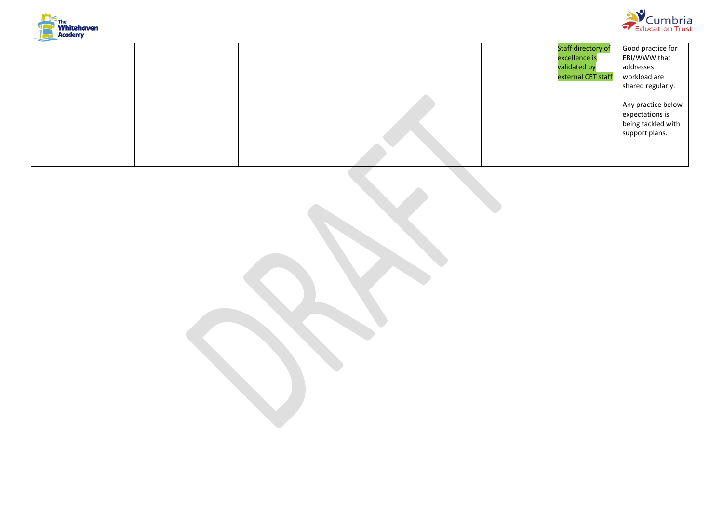



|  |  |  | <b>Staff directory of</b> | Good practice for  |
|--|--|--|---------------------------|--------------------|
|  |  |  | excellence is             | EBI/WWW that       |
|  |  |  | validated by              | addresses          |
|  |  |  | external CET staff        | workload are       |
|  |  |  |                           | shared regularly.  |
|  |  |  |                           |                    |
|  |  |  |                           | Any practice below |
|  |  |  |                           | expectations is    |
|  |  |  |                           | being tackled with |
|  |  |  |                           | support plans.     |
|  |  |  |                           |                    |
|  |  |  |                           |                    |
|  |  |  |                           |                    |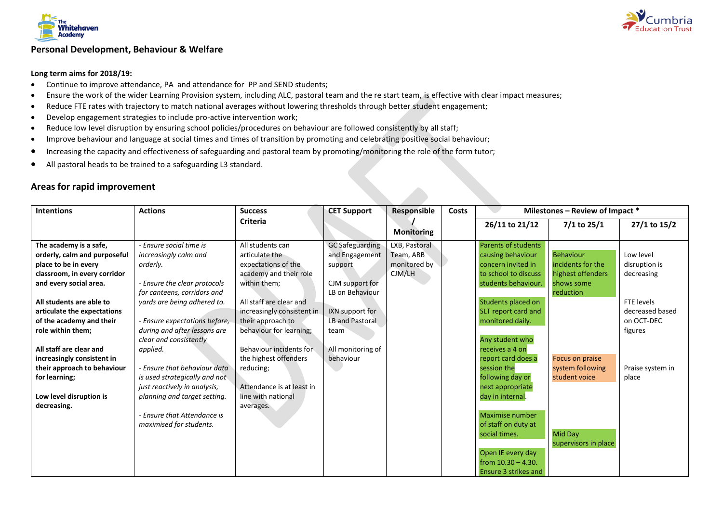

## **Personal Development, Behaviour & Welfare**

#### **Long term aims for 2018/19:**

- Continue to improve attendance, PA and attendance for PP and SEND students;
- Ensure the work of the wider Learning Provision system, including ALC, pastoral team and the re start team, is effective with clear impact measures;
- Reduce FTE rates with trajectory to match national averages without lowering thresholds through better student engagement;
- Develop engagement strategies to include pro-active intervention work;
- Reduce low level disruption by ensuring school policies/procedures on behaviour are followed consistently by all staff;
- Improve behaviour and language at social times and times of transition by promoting and celebrating positive social behaviour;
- Increasing the capacity and effectiveness of safeguarding and pastoral team by promoting/monitoring the role of the form tutor;
- All pastoral heads to be trained to a safeguarding L3 standard.

| <b>Intentions</b>            | <b>Actions</b>                | <b>Success</b>             | <b>CET Support</b>     | <b>Responsible</b> | Costs | Milestones - Review of Impact * |                      |                  |
|------------------------------|-------------------------------|----------------------------|------------------------|--------------------|-------|---------------------------------|----------------------|------------------|
|                              |                               | <b>Criteria</b>            |                        |                    |       | 26/11 to 21/12                  | $7/1$ to 25/1        | 27/1 to 15/2     |
|                              |                               |                            |                        | <b>Monitoring</b>  |       |                                 |                      |                  |
| The academy is a safe,       | - Ensure social time is       | All students can           | <b>GC</b> Safeguarding | LXB, Pastoral      |       | <b>Parents of students</b>      |                      |                  |
| orderly, calm and purposeful | increasingly calm and         | articulate the             | and Engagement         | Team, ABB          |       | causing behaviour               | <b>Behaviour</b>     | Low level        |
| place to be in every         | orderly.                      | expectations of the        | support                | monitored by       |       | concern invited in              | incidents for the    | disruption is    |
| classroom, in every corridor |                               | academy and their role     |                        | CJM/LH             |       | to school to discuss            | highest offenders    | decreasing       |
| and every social area.       | - Ensure the clear protocols  | within them;               | CJM support for        |                    |       | students behaviour.             | shows some           |                  |
|                              | for canteens, corridors and   |                            | LB on Behaviour        |                    |       |                                 | reduction            |                  |
| All students are able to     | yards are being adhered to.   | All staff are clear and    |                        |                    |       | Students placed on              |                      | FTE levels       |
| articulate the expectations  |                               | increasingly consistent in | IXN support for        |                    |       | SLT report card and             |                      | decreased based  |
| of the academy and their     | - Ensure expectations before, | their approach to          | LB and Pastoral        |                    |       | monitored daily.                |                      | on OCT-DEC       |
| role within them;            | during and after lessons are  | behaviour for learning;    | team                   |                    |       |                                 |                      | figures          |
|                              | clear and consistently        |                            |                        |                    |       | Any student who                 |                      |                  |
| All staff are clear and      | applied.                      | Behaviour incidents for    | All monitoring of      |                    |       | receives a 4 on                 |                      |                  |
| increasingly consistent in   |                               | the highest offenders      | behaviour              |                    |       | report card does a              | Focus on praise      |                  |
| their approach to behaviour  | - Ensure that behaviour data  | reducing;                  |                        |                    |       | session the                     | system following     | Praise system in |
| for learning;                | is used strategically and not |                            |                        |                    |       | following day or                | student voice        | place            |
|                              | just reactively in analysis,  | Attendance is at least in  |                        |                    |       | next appropriate                |                      |                  |
| Low level disruption is      | planning and target setting.  | line with national         |                        |                    |       | day in internal.                |                      |                  |
| decreasing.                  |                               | averages.                  |                        |                    |       |                                 |                      |                  |
|                              | - Ensure that Attendance is   |                            |                        |                    |       | Maximise number                 |                      |                  |
|                              | maximised for students.       |                            |                        |                    |       | of staff on duty at             |                      |                  |
|                              |                               |                            |                        |                    |       | social times.                   | Mid Day              |                  |
|                              |                               |                            |                        |                    |       |                                 | supervisors in place |                  |
|                              |                               |                            |                        |                    |       | Open IE every day               |                      |                  |
|                              |                               |                            |                        |                    |       | from $10.30 - 4.30$ .           |                      |                  |
|                              |                               |                            |                        |                    |       | Ensure 3 strikes and            |                      |                  |

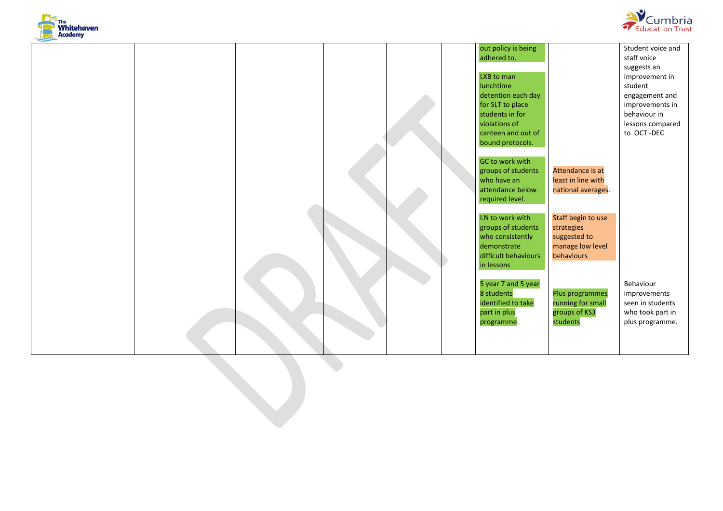



|  |  |  | out policy is being  |                    | Student voice and |  |
|--|--|--|----------------------|--------------------|-------------------|--|
|  |  |  | adhered to.          |                    | staff voice       |  |
|  |  |  |                      |                    | suggests an       |  |
|  |  |  | LXB to man           |                    | improvement in    |  |
|  |  |  | lunchtime            |                    | student           |  |
|  |  |  | detention each day   |                    | engagement and    |  |
|  |  |  | for SLT to place     |                    | improvements in   |  |
|  |  |  | students in for      |                    | behaviour in      |  |
|  |  |  | violations of        |                    | lessons compared  |  |
|  |  |  | canteen and out of   |                    | to OCT-DEC        |  |
|  |  |  | bound protocols.     |                    |                   |  |
|  |  |  |                      |                    |                   |  |
|  |  |  | GC to work with      |                    |                   |  |
|  |  |  | groups of students   | Attendance is at   |                   |  |
|  |  |  | who have an          | least in line with |                   |  |
|  |  |  | attendance below     | national averages. |                   |  |
|  |  |  | required level.      |                    |                   |  |
|  |  |  |                      |                    |                   |  |
|  |  |  | I.N to work with     | Staff begin to use |                   |  |
|  |  |  | groups of students   | strategies         |                   |  |
|  |  |  | who consistently     | suggested to       |                   |  |
|  |  |  | demonstrate          | manage low level   |                   |  |
|  |  |  | difficult behaviours | behaviours         |                   |  |
|  |  |  | in lessons           |                    |                   |  |
|  |  |  |                      |                    |                   |  |
|  |  |  | 5 year 7 and 5 year  |                    | Behaviour         |  |
|  |  |  | 8 students           | Plus programmes    | improvements      |  |
|  |  |  | identified to take   | running for small  | seen in students  |  |
|  |  |  | part in plus         | groups of KS3      | who took part in  |  |
|  |  |  | programme.           | students           | plus programme.   |  |
|  |  |  |                      |                    |                   |  |
|  |  |  |                      |                    |                   |  |
|  |  |  |                      |                    |                   |  |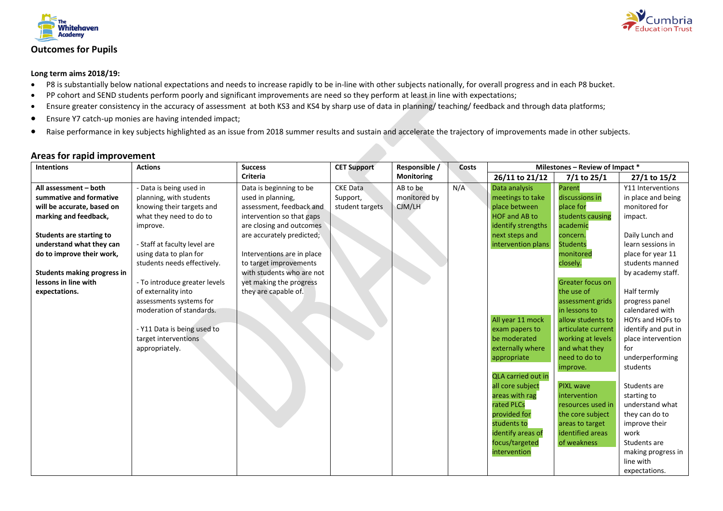



#### **Long term aims 2018/19:**

- P8 is substantially below national expectations and needs to increase rapidly to be in-line with other subjects nationally, for overall progress and in each P8 bucket.
- PP cohort and SEND students perform poorly and significant improvements are need so they perform at least in line with expectations;
- Ensure greater consistency in the accuracy of assessment at both KS3 and KS4 by sharp use of data in planning/ teaching/ feedback and through data platforms;
- Ensure Y7 catch-up monies are having intended impact;
- Raise performance in key subjects highlighted as an issue from 2018 summer results and sustain and accelerate the trajectory of improvements made in other subjects.

| <b>Intentions</b>                  | <b>Actions</b>                | <b>Success</b>             | <b>CET Support</b> | Responsible / | Costs | Milestones - Review of Impact * |                         |                     |
|------------------------------------|-------------------------------|----------------------------|--------------------|---------------|-------|---------------------------------|-------------------------|---------------------|
|                                    |                               | <b>Criteria</b>            |                    | Monitoring    |       | 26/11 to 21/12                  | 7/1 to 25/1             | 27/1 to 15/2        |
| All assessment - both              | - Data is being used in       | Data is beginning to be    | <b>CKE Data</b>    | AB to be      | N/A   | Data analysis                   | Parent                  | Y11 Interventions   |
| summative and formative            | planning, with students       | used in planning,          | Support,           | monitored by  |       | meetings to take                | discussions in          | in place and being  |
| will be accurate, based on         | knowing their targets and     | assessment, feedback and   | student targets    | CJM/LH        |       | place between                   | place for               | monitored for       |
| marking and feedback,              | what they need to do to       | intervention so that gaps  |                    |               |       | HOF and AB to                   | students causing        | impact.             |
|                                    | improve.                      | are closing and outcomes   |                    |               |       | identify strengths              | academic                |                     |
| <b>Students are starting to</b>    |                               | are accurately predicted;  |                    |               |       | next steps and                  | concern.                | Daily Lunch and     |
| understand what they can           | - Staff at faculty level are  |                            |                    |               |       | intervention plans              | <b>Students</b>         | learn sessions in   |
| do to improve their work,          | using data to plan for        | Interventions are in place |                    |               |       |                                 | monitored               | place for year 11   |
|                                    | students needs effectively.   | to target improvements     |                    |               |       |                                 | closely.                | students manned     |
| <b>Students making progress in</b> |                               | with students who are not  |                    |               |       |                                 |                         | by academy staff.   |
| lessons in line with               | - To introduce greater levels | yet making the progress    |                    |               |       |                                 | <b>Greater focus on</b> |                     |
| expectations.                      | of externality into           | they are capable of.       |                    |               |       |                                 | the use of              | Half termly         |
|                                    | assessments systems for       |                            |                    |               |       |                                 | assessment grids        | progress panel      |
|                                    | moderation of standards.      |                            |                    |               |       |                                 | in lessons to           | calendared with     |
|                                    |                               |                            |                    |               |       | All year 11 mock                | allow students to       | HOYs and HOFs to    |
|                                    | - Y11 Data is being used to   |                            |                    |               |       | exam papers to                  | articulate current      | identify and put in |
|                                    | target interventions          |                            |                    |               |       | be moderated                    | working at levels       | place intervention  |
|                                    | appropriately.                |                            |                    |               |       | externally where                | and what they           | for                 |
|                                    |                               |                            |                    |               |       | appropriate                     | need to do to           | underperforming     |
|                                    |                               |                            |                    |               |       |                                 | improve.                | students            |
|                                    |                               |                            |                    |               |       | <b>QLA carried out in</b>       |                         |                     |
|                                    |                               |                            |                    |               |       | all core subject                | <b>PIXL wave</b>        | Students are        |
|                                    |                               |                            |                    |               |       | areas with rag                  | intervention            | starting to         |
|                                    |                               |                            |                    |               |       | rated PLCs                      | resources used in       | understand what     |
|                                    |                               |                            |                    |               |       | provided for                    | the core subject        | they can do to      |
|                                    |                               |                            |                    |               |       | students to                     | areas to target         | improve their       |
|                                    |                               |                            |                    |               |       | identify areas of               | identified areas        | work                |
|                                    |                               |                            |                    |               |       | focus/targeted                  | of weakness             | Students are        |
|                                    |                               |                            |                    |               |       | intervention                    |                         | making progress in  |
|                                    |                               |                            |                    |               |       |                                 |                         | line with           |
|                                    |                               |                            |                    |               |       |                                 |                         | expectations.       |